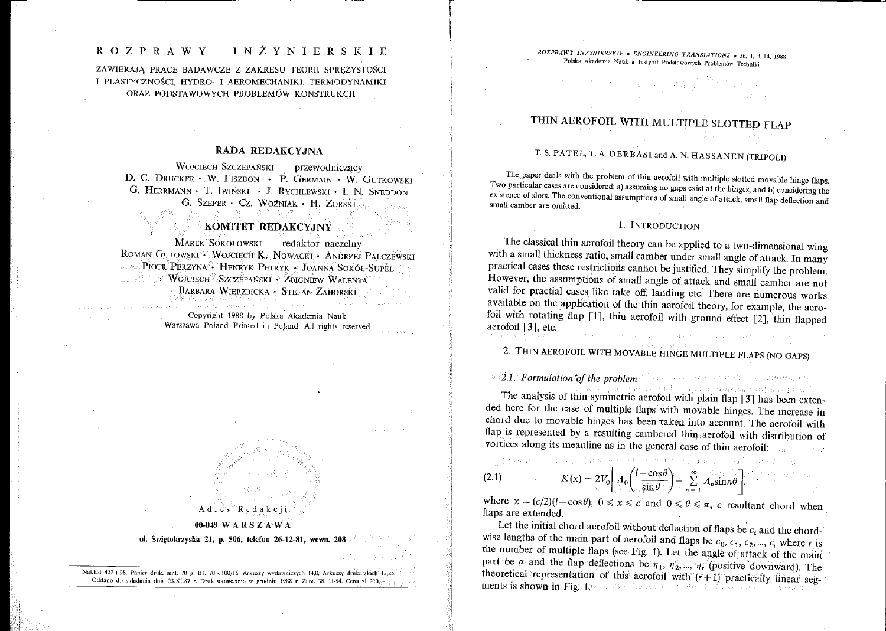# THIN AEROFOIL WITH MULTIPLE SLOTTED FLAP

# T. S. PATEL, T. A. DERBASI and A. N. HASSANEN (TRIPOLI)

The paper deals with the problem of thin aerofoil with multiple slotted movable hinge flaps. Two particular cases are considered: a) assuming no gaps exist at the hinges, and b) considering the existence of slots. The conventional assumptions of small angle of attack, small flap deflection and small camber are omitted.

### 1. INTRODUCTION

The classical thin aerofoil theory can be applied to a two-dimensional wing with a small thickness ratio, small camber under small angle of attack. In many practical cases these restrictions cannot be justified. They simplify the problem. However, the assumptions of small angle of attack and small camber are not valid for practial cases like take off, landing etc. There are numerous works available on the application of the thin aerofoil theory, for example, the aerofoil with rotating flap [1], thin aerofoil with ground effect [2], thin flapped aerofoil  $\lceil 3 \rceil$ , etc. and contact and contact

2. THIN AEROFOIL WITH MOVABLE HINGE MULTIPLE FLAPS (NO GAPS)

## **All. Formulation of the problem** these states are settled and disease and

meeraal capabilidums dilpas prast The analysis of thin symmetric aerofoil with plain flap [3] has been extended here for the case of multiple flaps with movable hinges. The increase in chord due to movable hinges has been taken into account. The aerofoil with flap is represented by a resulting cambered thin aerofoil with distribution of vortices along its meanline as in the general case of thin aerofoil:

$$
(2.1) \t K(x) = 2V_0 \left[ A_0 \left( \frac{l + \cos \theta}{\sin \theta} \right) + \sum_{n=1}^{\infty} A_n \sin n\theta \right],
$$

where  $x = (c/2)(l - \cos \theta)$ ;  $0 \le x \le c'$  and  $0 \le \theta \le \pi$ , c resultant chord when flaps are extended.

Let the initial chord aerofoil without deflection of flaps be  $c_i$  and the chordwise lengths of the main part of aerofoil and flaps be  $c_0$ ,  $c_1$ ,  $c_2$ , ...,  $c_r$ , where r is the number of multiple flaps (see Fig. 1). Let the angle of attack of the main part be  $\alpha$  and the flap deflections be  $\eta_1$ ,  $\eta_2$ , ...,  $\eta_r$  (positive downward). The theoretical representation of this aerofoil with  $(r+1)$  practically linear segments is shown in Fig. 190 and the same characterization of paradexic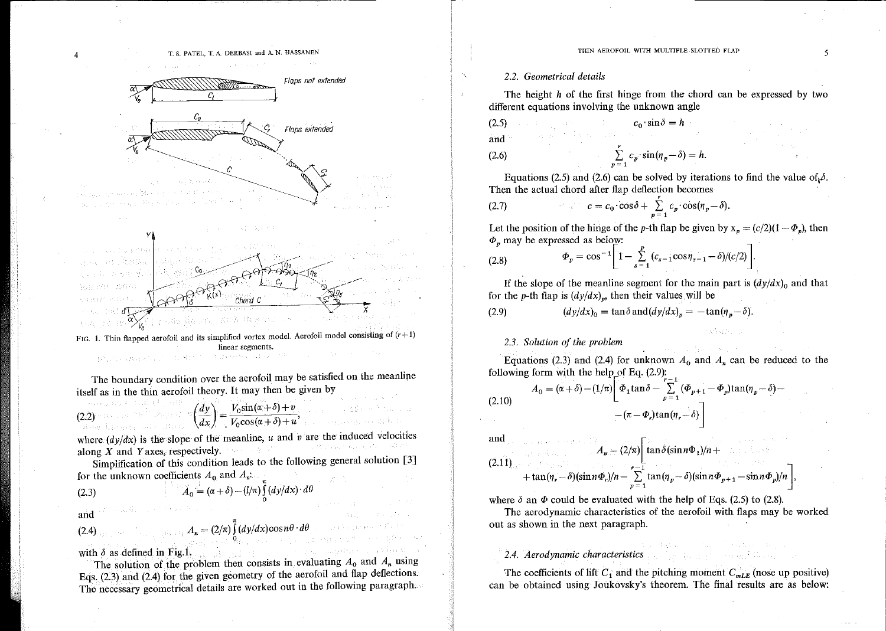

linear segments.  $\{ \varphi^{\alpha}_{\pm 1}, \varphi^{\alpha}_{\pm 2} \}$  . By  $\pm \varphi^{\alpha}_{\pm 1, \pm 2}$  , 出现社会

The boundary condition over the aerofoil may be satisfied on the meanline itself as in the thin aerofoil theory. It may then be given by

$$
(2.2)^{\frac{1}{2}(\frac{1}{2}+\frac{1}{2})\left(\frac{1}{2}-\frac{1}{2}\right)\left(\frac{1}{2}+\frac{1}{2}\right)^{2}}\left(\frac{dy}{dx}\right)=\frac{V_0\sin(\alpha+\delta)+v}{V_0\cos(\alpha+\delta)+u},\qquad\qquad\text{and}\qquad\qquad
$$

where  $(dy/dx)$  is the slope of the meanline, u and v are the induced velocities 1. 精心的病 machine dia along X and Y axes, respectively.  $\cdots$ 

Simplification of this condition leads to the following general solution [3] for the unknown coefficients  $A_0$  and  $A_n$ :

(2.3) 
$$
A_0 = (\alpha + \delta) - (l/\pi) \int_0^{\pi} (dy/dx) \cdot d\theta
$$

and

$$
(2.4)_{\text{max}} \qquad A_n = (2/\pi) \int_{0}^{\pi} (dy/dx) \cos n\theta \cdot d\theta \qquad (2.4)
$$

with  $\delta$  as defined in Fig.1,  $\frac{1}{2}$  and  $\frac{1}{2}$  and  $\frac{1}{2}$  and  $\frac{1}{2}$  and  $\frac{1}{2}$  and  $\frac{1}{2}$ 

The solution of the problem then consists in evaluating  $A_0$  and  $A_n$  using Eqs.  $(2.3)$  and  $(2.4)$  for the given geometry of the aerofoil and flap deflections. The necessary geometrical details are worked out in the following paragraph.

gas (Ligarise)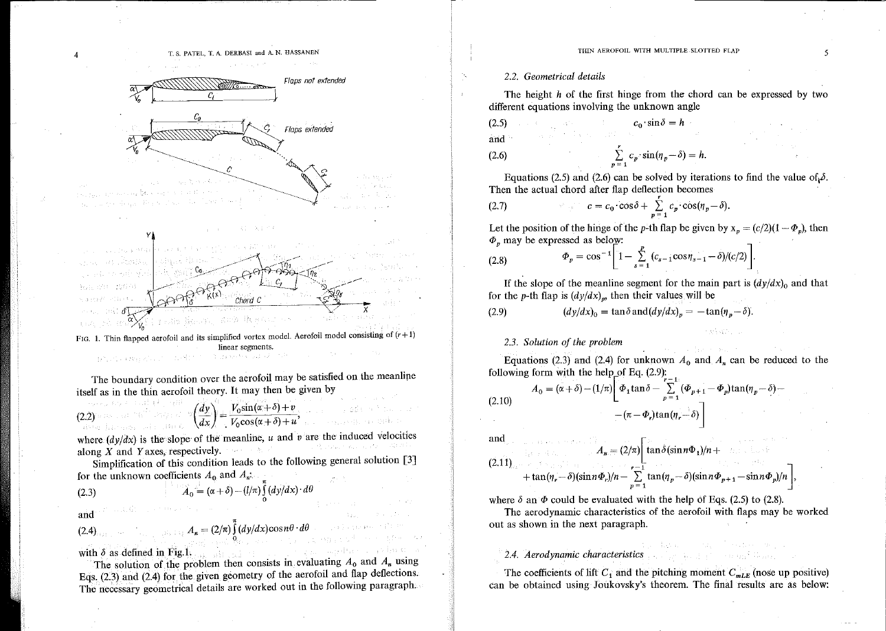#### THIN AEROFOIL WITH MULTIPLE SLOTTED FLAP

### 2.2. Geometrical details

The height h of the first hinge from the chord can be expressed by two different equations involving the unknown angle

$$
c_0 \sin \delta = h
$$
 and

(2.6) 
$$
\sum_{p=1}^{r} c_p \cdot \sin(\eta_p - \delta) = h.
$$

Equations (2.5) and (2.6) can be solved by iterations to find the value of  $\delta$ . Then the actual chord after flap deflection becomes

(2.7) 
$$
c = c_0 \cos \delta + \sum_{p=1}^{\infty} c_p \cos(\eta_p - \delta).
$$

Let the position of the hinge of the p-th flap be given by  $x_p = (c/2)(1 - \Phi_p)$ , then  $\Phi$ <sub>n</sub> may be expressed as below:

(2.8) 
$$
\Phi_p = \cos^{-1} \left[ 1 - \sum_{s=1}^p (c_{s-1} \cos \eta_{s-1} - \delta) / (c/2) \right].
$$

If the slope of the meanline segment for the main part is  $\frac{dy}{dx}$  and that for the p-th flap is  $(dy/dx)<sub>p</sub>$ , then their values will be

 $(dy/dx)<sub>0</sub> = \tan \delta \text{ and } (dy/dx)<sub>p</sub> = -\tan(\eta_p - \delta).$  $(2.9)$ 

### 2.3. Solution of the problem

Equations (2.3) and (2.4) for unknown  $A_0$  and  $A_n$  can be reduced to the following form with the help of Eq.  $(2.9)$ :

$$
(2.10) \qquad A_0 = (\alpha + \delta) - (1/\pi) \left[ \Phi_1 \tan \delta - \sum_{p=1}^{r-1} (\Phi_{p+1} - \Phi_p) \tan(\eta_p - \delta) - \left( \pi - \Phi_p \right) \tan(\eta_r - \delta) \right]
$$

and the community of the Community of the Community of the Community of the Community of the Community of the Community of the Community of the Community of the Community of the Community of the Community of the Community

$$
(2.11)
$$
  

$$
A_n = (2/\pi) \left[ \tan \delta (\sin n\Phi_1)/n + \tan(n_r - \delta)(\sin n\Phi_r)/n - \sum_{p=1}^{r-1} \tan(n_p - \delta)(\sin n\Phi_{p+1} - \sin n\Phi_p)/n \right],
$$

where  $\delta$  an  $\Phi$  could be evaluated with the help of Eqs. (2.5) to (2.8).

The aerodynamic characteristics of the aerofoil with flaps may be worked out as shown in the next paragraph.

### 2.4. Aerodynamic characteristics

The coefficients of lift  $C_1$  and the pitching moment  $C_{mLE}$  (nose up positive) can be obtained using Joukovsky's theorem. The final results are as below:

i sa an Eilean

5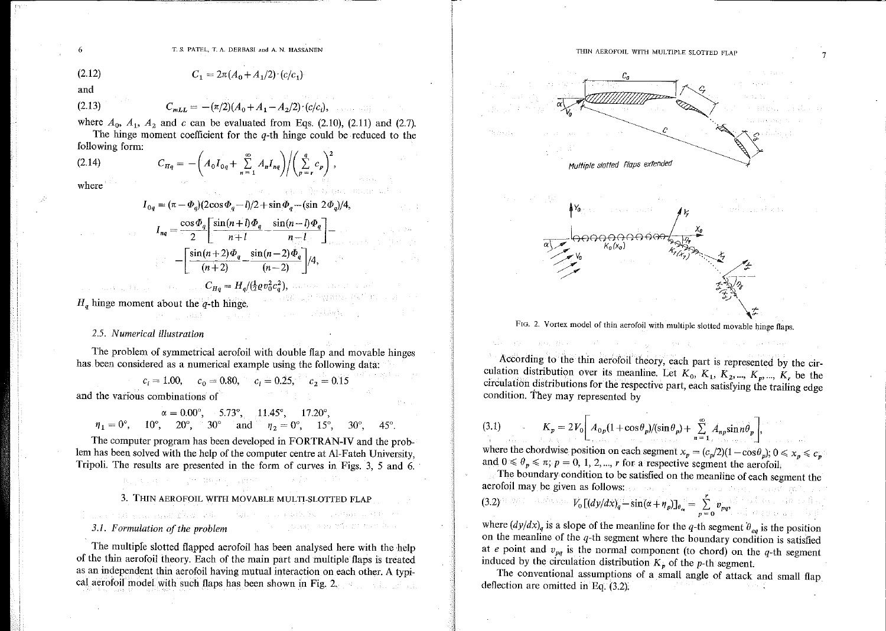T. S. PATEL, T. A. DERBASI and A. N. HASSANEN

(2.12) 
$$
C_1 = 2\pi (A_0 + A_1/2) \cdot (c/c_1)
$$

and

(2.13) 
$$
C_{mLL} = -(\pi/2)(A_0 + A_1 - A_2/2) \cdot (c/c_i),
$$

where  $A_0$ ,  $A_1$ ,  $A_2$  and c can be evaluated from Eqs. (2.10), (2.11) and (2.7). The hinge moment coefficient for the  $q$ -th hinge could be reduced to the

following form:

(2.14) 
$$
C_{Hq} = -\bigg(A_0I_{0q} + \sum_{n=1}^{\infty} A_nI_{nq}\bigg)\bigg/\bigg(\sum_{p=r}^{q} c_p\bigg)^2,
$$

where

$$
I_{0q} = (\pi - \Phi_q)(2\cos\Phi_q - l)/2 + \sin\Phi_q - (\sin 2\Phi_q)/2
$$

$$
I_{nq} = \frac{\cos\Phi_q}{2} \left[ \frac{\sin(n+l)\Phi_q}{n+l} - \frac{\sin(n-l)\Phi_q}{n-l} \right] -
$$

$$
- \left[ \frac{\sin(n+2)\Phi_q}{(n+2)} - \frac{\sin(n-2)\Phi_q}{(n-2)} \right]/4,
$$

$$
C_{Ha} = H_q/(\frac{1}{2}\rho v_0^2 c_q^2),
$$

and proposed to the first proposed the most

Lin Reparts The

 $\mathcal{L}=\frac{1}{2}+\frac{1}{2}k\mathcal{L}=\frac{1}{2}\log\left(\frac{1}{2}+\frac{1}{2}\log\left(\frac{1}{2}\log\left(\frac{1}{2}\log\left(\frac{1}{2}\log\left(\frac{1}{2}\log\left(\frac{1}{2}\log\left(\frac{1}{2}\log\left(\frac{1}{2}\log\left(\frac{1}{2}\log\left(\frac{1}{2}\log\left(\frac{1}{2}\log\left(\frac{1}{2}\log\left(\frac{1}{2}\log\left(\frac{1}{2}\log\left(\frac{1}{2}\log\left(\frac{1}{2}\log\left(\frac{1}{2}\log\left(\frac{1}{2$ 

 $H<sub>a</sub>$  hinge moment about the q-th hinge.

State of Congress No.

### 2.5. Numerical illustration

The problem of symmetrical aerofoil with double flap and movable hinges has been considered as a numerical example using the following data:

$$
c_i = 1.00
$$
,  $c_0 = 0.80$ ,  $c_i = 0.25$ ,  $c_2 = 0.15$ 

and the various combinations of

$$
\alpha = 0.00^{\circ}
$$
, 5.73°, 11.45°, 17.20°,  
\n $\eta_1 = 0^{\circ}$ , 10°, 20°, 30° and  $\eta_2 = 0^{\circ}$ , 15°, 30°, 45°.

The computer program has been developed in FORTRAN-IV and the problem has been solved with the help of the computer centre at Al-Fateh University, Tripoli. The results are presented in the form of curves in Figs. 3, 5 and 6.

3. THIN AEROFOIL WITH MOVABLE MULTI-SLOTTED FLAP

and a staff group staff for which a staff is consistent to consistent

## 3.1. Formulation of the problem

Report Follows Constitutions

The multiple slotted flapped aerofoil has been analysed here with the help of the thin aerofoil theory. Each of the main part and multiple flaps is treated as an independent thin aerofoil having mutual interaction on each other. A typical aerofoil model with such flaps has been shown in Fig. 2.

6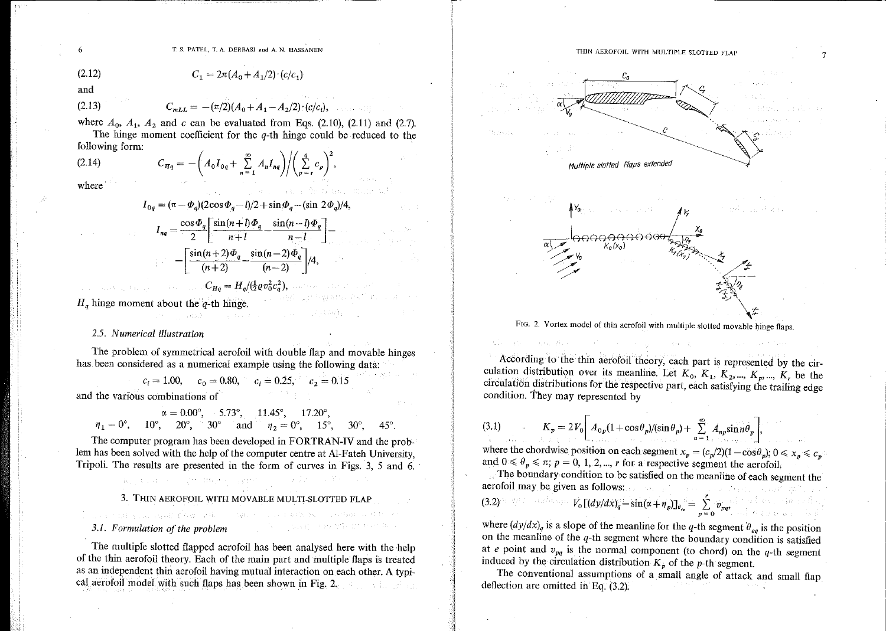

FIG. 2. Vortex model of thin aerofoil with multiple slotted movable hinge flaps.

According to the thin aerofoil theory, each part is represented by the circulation distribution over its meanline. Let  $K_0$ ,  $K_1$ ,  $K_2$ , ...,  $K_p$ , ...,  $K_r$ , be the circulation distributions for the respective part, each satisfying the trailing edge condition. They may represented by

(3.1) 
$$
K_p = 2V_0 \left[ A_{0p} (1 + \cos \theta_p) / (\sin \theta_p) + \sum_{n=1}^{\infty} A_{np} \sin n \theta_p \right]
$$

where the chordwise position on each segment  $x_p = (c_p/2)(1 - \cos\theta_p)$ ;  $0 \le x_p \le c_p$ and  $0 \le \theta_p \le \pi$ ;  $p = 0, 1, 2, ..., r$  for a respective segment the aerofoil.

The boundary condition to be satisfied on the meanline of each segment the aerofoil may be given as follows: askrije su podredni

Advance Dist

$$
(3.2)^{(\frac{1}{2}-\frac{1}{2})(\frac{1}{2}-\frac{1}{2})(\frac{1}{2}-\frac{1}{2})(\frac{1}{2}-\frac{1}{2})(\frac{1}{2}-\frac{1}{2})(\frac{1}{2}-\frac{1}{2})(\frac{1}{2}-\frac{1}{2})(\frac{1}{2}-\frac{1}{2})(\frac{1}{2}-\frac{1}{2})(\frac{1}{2}-\frac{1}{2})(\frac{1}{2}-\frac{1}{2})(\frac{1}{2}-\frac{1}{2})(\frac{1}{2}-\frac{1}{2})(\frac{1}{2}-\frac{1}{2})(\frac{1}{2}-\frac{1}{2})(\frac{1}{2}-\frac{1}{2})(\frac{1}{2}-\frac{1}{2})(\frac{1}{2}-\frac{1}{2})(\frac{1}{2}-\frac{1}{2})(\frac{1}{2}-\frac{1}{2})(\frac{1}{2}-\frac{1}{2})(\frac{1}{2}-\frac{1}{2})(\frac{1}{2}-\frac{1}{2})(\frac{1}{2}-\frac{1}{2})(\frac{1}{2}-\frac{1}{2})(\frac{1}{2}-\frac{1}{2})(\frac{1}{2}-\frac{1}{2})(\frac{1}{2}-\frac{1}{2})(\frac{1}{2}-\frac{1}{2})(\frac{1}{2}-\frac{1}{2})(\frac{1}{2}-\frac{1}{2})(\frac{1}{2}-\frac{1}{2})(\frac{1}{2}-\frac{1}{2})(\frac{1}{2}-\frac{1}{2})(\frac{1}{2}-\frac{1}{2})(\frac{1}{2}-\frac{1}{2})(\frac{1}{2}-\frac{1}{2})(\frac{1}{2}-\frac{1}{2})(\frac{1}{2}-\frac{1}{2})(\frac{1}{2}-\frac{1}{2})(\frac{1}{2}-\frac{1}{2})(\frac{1}{2}-\frac{1}{2})(\frac{1}{2}-\frac{1}{2})(\frac{1}{2}-\frac{1}{2})(\frac{1}{2}-\frac{1}{2})(\frac{1}{2}-\frac{1}{2})(\frac{1}{2}-\frac{1}{2})(\frac{1}{2}-\frac{1}{2})(\frac{1}{2}-\frac{1}{2})(\frac{1}{2}-\frac{1}{2})(\frac{1}{2}-\frac{1}{2})(\frac{1}{2}-\frac{1}{2})(\frac{1}{2}-\frac{1}{2})(\frac{1}{2}-\frac{1}{
$$

where  $\left(\frac{dy}{dx}\right)_q$  is a slope of the meanline for the q-th segment  $\theta_{eq}$  is the position on the meanline of the  $q$ -th segment where the boundary condition is satisfied at e point and  $v_{pq}$  is the normal component (to chord) on the q-th segment induced by the circulation distribution  $K_p$  of the p-th segment.

The conventional assumptions of a small angle of attack and small flap deflection are omitted in Eq.  $(3.2)$ .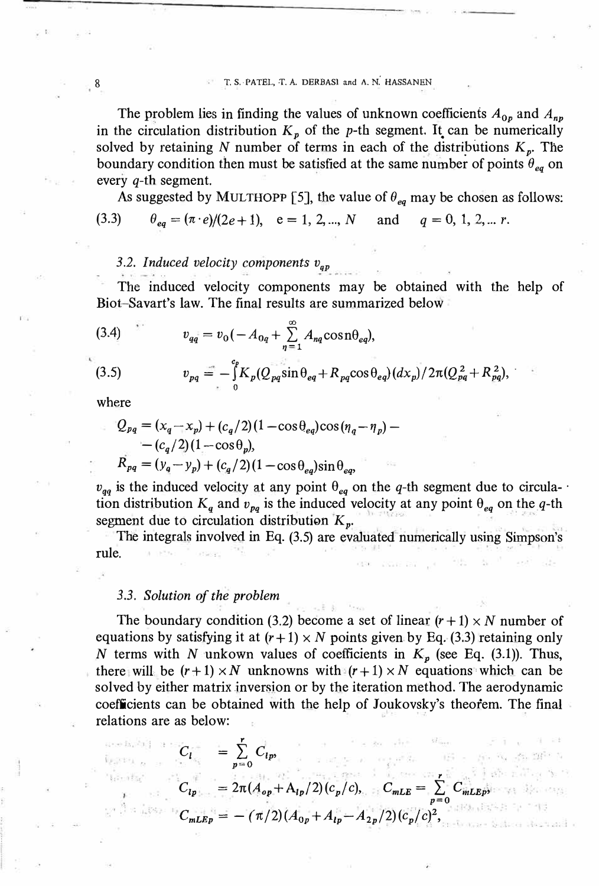8 **T. S.-PATEL, T. A. DERBASl and A. N.' HASSANEN** 

The problem lies in finding the values of unknown coefficients  $A_{0p}$  and  $A_{np}$ in the circulation distribution  $K_p$  of the p-th segment. It can be numerically solved by retaining N number of terms in each of the distributions  $K_p$ . The boundary condition then must be satisfied at the same number of points  $\theta_{eq}$  on every  $q$ -th segment.

As suggested by MULTHOPP [5], the value of  $\theta_{eq}$  may be chosen as follows: (3.3)  $\theta_{eq} = (\pi \cdot e)/(2e+1)$ ,  $e = 1, 2, ..., N$  and  $q = 0, 1, 2, ... r$ .

## 3.2. Induced velocity components  $v_{ap}$

The induced velocity components may be obtained with the help of Biot-Savart's law. The final results are summarized below

(3.4) 
$$
v_{qq} = v_0 \left( -A_{0q} + \sum_{n=1}^{\infty} A_{nq} \cos n \theta_{eq} \right),
$$

(3.5) 
$$
v_{pq} = -\int_{0}^{c_p} K_p(Q_{pq} \sin \theta_{eq} + R_{pq} \cos \theta_{eq}) (dx_p)/2\pi (Q_{pq}^2 + R_{pq}^2),
$$

where

ese familialit

Wents

$$
Q_{pq} = (x_q - x_p) + (c_q/2)(1 - \cos \theta_{eq})\cos(\eta_q - \eta_p) -
$$
  
-  $(c_q/2)(1 - \cos \theta_p),$   

$$
R_{pq} = (y_q - y_p) + (c_q/2)(1 - \cos \theta_{eq})\sin \theta_{eq},
$$

 $v_{qq}$  is the induced velocity at any point  $\theta_{eq}$  on the q-th segment due to circulation distribution  $K_q$  and  $v_{pq}$  is the induced velocity at any point  $\theta_{eq}$  on the q-th segment due to circulation distribution  $K_p$ .

The integrals involved in Eq. (3.5) are evaluated numerically using Simpson's rule.

### *3 .3.* Solution of the problem

The boundary condition (3.2) become a set of linear  $(r+1) \times N$  number of equations by satisfying it at  $(r+1) \times N$  points given by Eq. (3.3) retaining only *N* terms with *N* unkown values of coefficients in  $K_p$  (see Eq. (3.1)). Thus, there will be  $(r+1) \times N$  unknowns with  $(r+1) \times N$  equations which can be solved by either matrix inversion or by the iteration method. The aerodynamic coefficients can be obtained with the help of Joukovsky's theofem. The finał relations are as below:

$$
C_{l} = \sum_{p=0}^{r} C_{lp}
$$
  
\n
$$
C_{lp} = 2\pi (A_{op} + A_{lp}/2) (c_p/c), \qquad C_{mLE} = \sum_{p=0}^{r} C_{mLEp}
$$
  
\n
$$
C_{mLEp} = -(\pi/2) (A_{0p} + A_{lp} - A_{2p}/2) (c_p/c)^2,
$$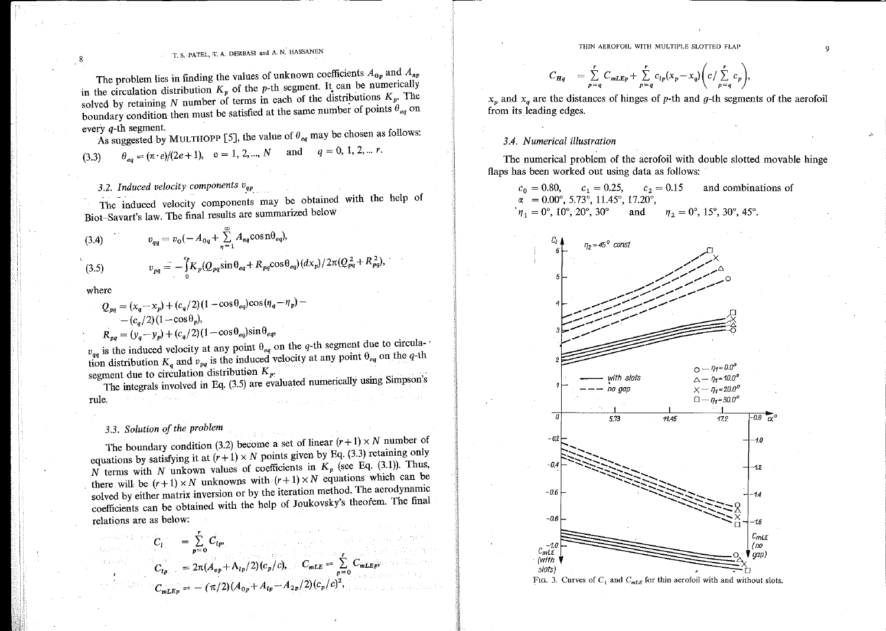$$
C_{Hq} = \sum_{p=q}^{r} C_{mLEp} + \sum_{p=q}^{r} c_{lp}(x_p - x_q) \bigg( c / \sum_{p=q}^{r} c_p \bigg),
$$

 $x_p$  and  $x_q$  are the distances of hinges of p-th and g-th segments of the aerofoil from its leading edges.

## 3.4. Numerical illustration

The numerical problem of the aerofoil with double slotted movable hinge flaps has been worked out using data as follows:

 $c_0 = 0.80,$   $c_1 = 0.25,$   $c_2 = 0.15$ and combinations of  $\alpha = 0.00^{\circ}, 5.73^{\circ}, 11.45^{\circ}, 17.20^{\circ},$  $n_1 = 0^\circ, 10^\circ, 20^\circ, 30^\circ$  $\eta_2 = 0^\circ, 15^\circ, 30^\circ, 45^\circ.$ and



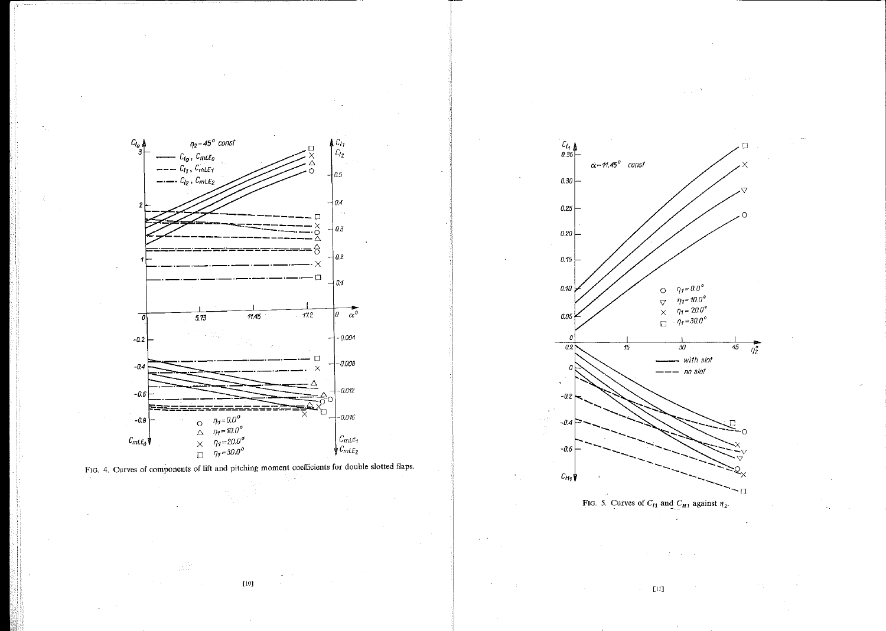



 $\left[10\right]$ 

Δń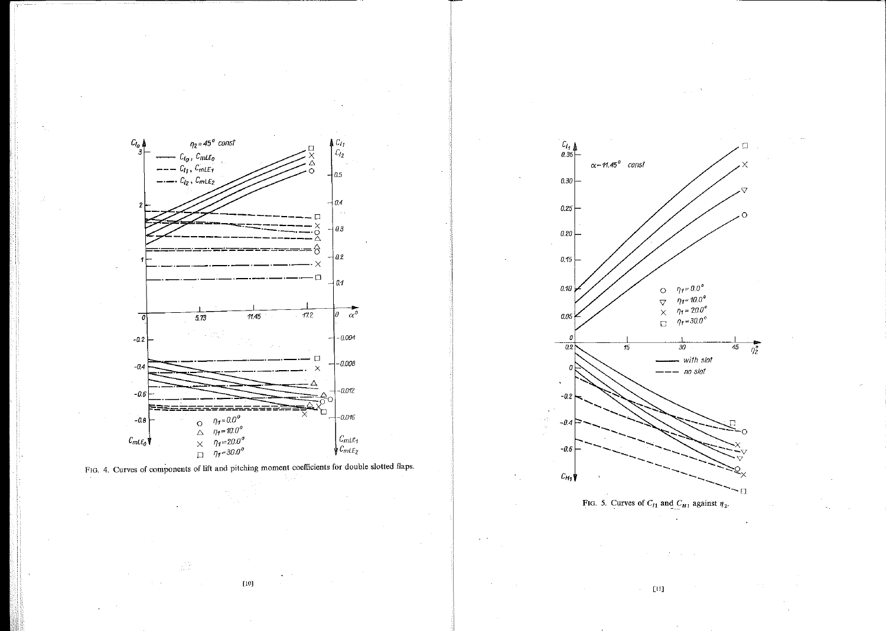

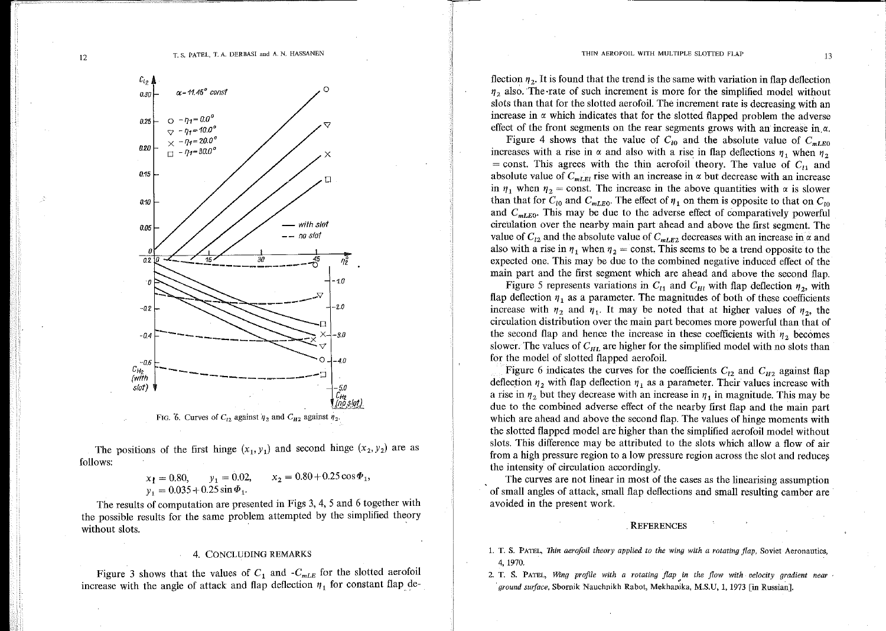

FIG. 6. Curves of  $C_{12}$  against  $\eta_2$  and  $C_{H2}$  against  $\eta_2$ .

The positions of the first hinge  $(x_1, y_1)$  and second hinge  $(x_2, y_2)$  are as follows:

$$
x_1 = 0.80,
$$
  $y_1 = 0.02,$   $x_2 = 0.80 + 0.25 \cos \Phi_1,$   
 $y_1 = 0.035 + 0.25 \sin \Phi_1.$ 

The results of computation are presented in Figs 3, 4, 5 and 6 together with the possible results for the same problem attempted by the simplified theory without slots.

### 4. CONCLUDING REMARKS

Figure 3 shows that the values of  $C_1$  and  $-C_{mLE}$  for the slotted aerofoil increase with the angle of attack and flap deflection  $\eta_1$  for constant flap de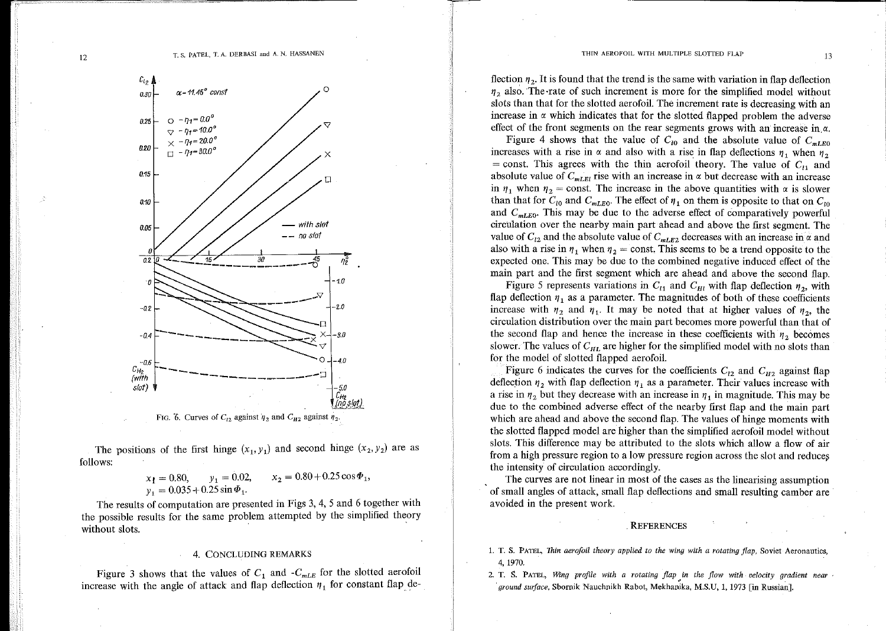flection  $\eta_2$ . It is found that the trend is the same with variation in flap deflection  $\eta_2$  also. The rate of such increment is more for the simplified model without slots than that for the slotted aerofoil. The increment rate is decreasing with an increase in  $\alpha$  which indicates that for the slotted flapped problem the adverse effect of the front segments on the rear segments grows with an increase in  $\alpha$ .

Figure 4 shows that the value of  $C_{10}$  and the absolute value of  $C_{mLE0}$ increases with a rise in  $\alpha$  and also with a rise in flap deflections  $\eta_1$  when  $\eta_2$ = const. This agrees with the thin aerofoil theory. The value of  $C_{11}$  and absolute value of  $C_{mLEI}$  rise with an increase in  $\alpha$  but decrease with an increase in  $\eta_1$  when  $\eta_2$  = const. The increase in the above quantities with  $\alpha$  is slower than that for  $C_{i0}$  and  $C_{mLE0}$ . The effect of  $\eta_1$  on them is opposite to that on  $C_{i0}$ and  $C_{mLE0}$ . This may be due to the adverse effect of comparatively powerful circulation over the nearby main part ahead and above the first segment. The value of  $C_{12}$  and the absolute value of  $C_{mLE2}$  decreases with an increase in  $\alpha$  and also with a rise in  $\eta_1$  when  $\eta_2$  = const. This seems to be a trend opposite to the expected one. This may be due to the combined negative induced effect of the main part and the first segment which are ahead and above the second flap.

Figure 5 represents variations in  $C_{11}$  and  $C_{H1}$  with flap deflection  $\eta_2$ , with flap deflection  $\eta_1$  as a parameter. The magnitudes of both of these coefficients increase with  $\eta_2$  and  $\eta_1$ . It may be noted that at higher values of  $\eta_2$ , the circulation distribution over the main part becomes more powerful than that of the second flap and hence the increase in these coefficients with  $\eta_2$  becomes slower. The values of  $C_{HL}$  are higher for the simplified model with no slots than for the model of slotted flapped aerofoil.

Figure 6 indicates the curves for the coefficients  $C_{12}$  and  $C_{H2}$  against flap deflection  $\eta_2$  with flap deflection  $\eta_1$  as a parameter. Their values increase with a rise in  $\eta_2$  but they decrease with an increase in  $\eta_1$  in magnitude. This may be due to the combined adverse effect of the nearby first flap and the main part which are ahead and above the second flap. The values of hinge moments with the slotted flapped model are higher than the simplified aerofoil model without slots. This difference may be attributed to the slots which allow a flow of air from a high pressure region to a low pressure region across the slot and reduces the intensity of circulation accordingly.

The curves are not linear in most of the cases as the linearising assumption of small angles of attack, small flap deflections and small resulting camber are avoided in the present work.

### **REFERENCES**

- 1. T. S. PATEL, Thin aerofoil theory applied to the wing with a rotating flap, Soviet Aeronautics, 4, 1970.
- 2. T. S. PATEL, Wing profile with a rotating flap in the flow with velocity gradient near . ground surface, Sbornik Nauchnikh Rabot, Mekhanika, M.S.U, 1, 1973 [in Russian].